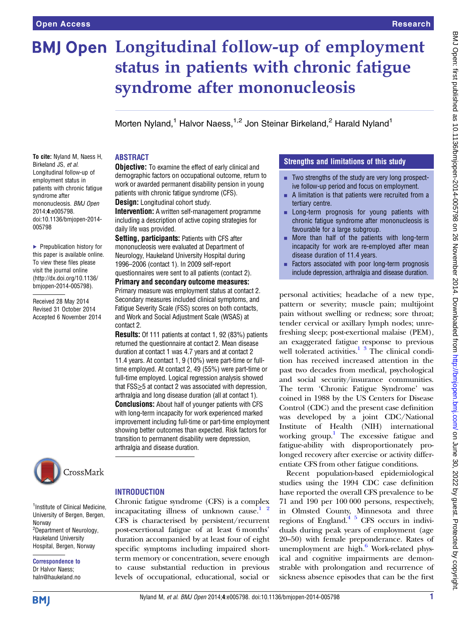# **BMJ Open Longitudinal follow-up of employment** status in patients with chronic fatigue syndrome after mononucleosis

Morten Nyland,<sup>1</sup> Halvor Naess,<sup>1,2</sup> Jon Steinar Birkeland,<sup>2</sup> Harald Nyland<sup>1</sup>

### To cite: Nyland M, Naess H, Birkeland JS, et al. Longitudinal follow-up of employment status in patients with chronic fatigue

syndrome after mononucleosis. BMJ Open 2014;4:e005798. doi:10.1136/bmjopen-2014- 005798

▶ Prepublication history for this paper is available online. To view these files please visit the journal online [\(http://dx.doi.org/10.1136/](http://dx.doi.org/10.1136/bmjopen-2014-005798) [bmjopen-2014-005798](http://dx.doi.org/10.1136/bmjopen-2014-005798)).

Received 28 May 2014 Revised 31 October 2014 Accepted 6 November 2014



<sup>1</sup> Institute of Clinical Medicine, University of Bergen, Bergen, Norway <sup>2</sup>Department of Neurology, Haukeland University Hospital, Bergen, Norway

Correspondence to Dr Halvor Naess; haln@haukeland.no

# ABSTRACT

**Objective:** To examine the effect of early clinical and demographic factors on occupational outcome, return to work or awarded permanent disability pension in young patients with chronic fatigue syndrome (CFS).

**Design:** Longitudinal cohort study.

Intervention: A written self-management programme including a description of active coping strategies for daily life was provided.

Setting, participants: Patients with CFS after mononucleosis were evaluated at Department of Neurology, Haukeland University Hospital during 1996–2006 (contact 1). In 2009 self-report questionnaires were sent to all patients (contact 2).

Primary and secondary outcome measures:

Primary measure was employment status at contact 2. Secondary measures included clinical symptoms, and Fatigue Severity Scale (FSS) scores on both contacts, and Work and Social Adjustment Scale (WSAS) at contact 2.

Results: Of 111 patients at contact 1, 92 (83%) patients returned the questionnaire at contact 2. Mean disease duration at contact 1 was 4.7 years and at contact 2 11.4 years. At contact 1, 9 (10%) were part-time or fulltime employed. At contact 2, 49 (55%) were part-time or full-time employed. Logical regression analysis showed that FSS≥5 at contact 2 was associated with depression, arthralgia and long disease duration (all at contact 1). **Conclusions:** About half of younger patients with CFS with long-term incapacity for work experienced marked improvement including full-time or part-time employment showing better outcomes than expected. Risk factors for transition to permanent disability were depression, arthralgia and disease duration.

# **INTRODUCTION**

Chronic fatigue syndrome (CFS) is a complex incapacitating illness of unknown cause.<sup>1</sup> <sup>2</sup> CFS is characterised by persistent/recurrent post-exertional fatigue of at least 6 months' duration accompanied by at least four of eight specific symptoms including impaired shortterm memory or concentration, severe enough to cause substantial reduction in previous levels of occupational, educational, social or

# Strengths and limitations of this study

- Two strengths of the study are very long prospective follow-up period and focus on employment.
- A limitation is that patients were recruited from a tertiary centre.
- **E** Long-term prognosis for young patients with chronic fatigue syndrome after mononucleosis is favourable for a large subgroup.
- $\blacksquare$  More than half of the patients with long-term incapacity for work are re-employed after mean disease duration of 11.4 years.
- Factors associated with poor long-term prognosis include depression, arthralgia and disease duration.

personal activities; headache of a new type, pattern or severity; muscle pain; multijoint pain without swelling or redness; sore throat; tender cervical or axillary lymph nodes; unrefreshing sleep; post-exertional malaise (PEM), an exaggerated fatigue response to previous well tolerated activities. $\frac{1}{3}$  The clinical condition has received increased attention in the past two decades from medical, psychological and social security/insurance communities. The term 'Chronic Fatigue Syndrome' was coined in 1988 by the US Centers for Disease Control (CDC) and the present case definition was developed by a joint CDC/National Institute of Health (NIH) international working group.<sup>1</sup> The excessive fatigue and fatigue-ability with disproportionately prolonged recovery after exercise or activity differentiate CFS from other fatigue conditions.

Recent population-based epidemiological studies using the 1994 CDC case definition have reported the overall CFS prevalence to be 71 and 190 per 100 000 persons, respectively, in Olmsted County, Minnesota and three regions of England.<sup>45</sup> CFS occurs in individuals during peak years of employment (age 20–50) with female preponderance. Rates of unemployment are high. $6$  Work-related physical and cognitive impairments are demonstrable with prolongation and recurrence of sickness absence episodes that can be the first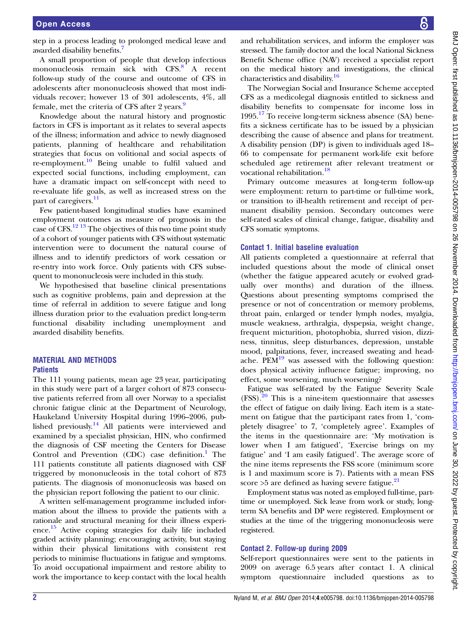step in a process leading to prolonged medical leave and awarded disability benefits.<sup>[7](#page-6-0)</sup>

A small proportion of people that develop infectious mononucleosis remain sick with CFS.<sup>[8](#page-6-0)</sup> A recent follow-up study of the course and outcome of CFS in adolescents after mononucleosis showed that most individuals recover; however 13 of 301 adolescents, 4%, all female, met the criteria of CFS after 2 years.<sup>9</sup>

Knowledge about the natural history and prognostic factors in CFS is important as it relates to several aspects of the illness; information and advice to newly diagnosed patients, planning of healthcare and rehabilitation strategies that focus on volitional and social aspects of re-employment.[10](#page-6-0) Being unable to fulfil valued and expected social functions, including employment, can have a dramatic impact on self-concept with need to re-evaluate life goals, as well as increased stress on the part of caregivers.<sup>11</sup>

Few patient-based longitudinal studies have examined employment outcomes as measure of prognosis in the case of CFS.<sup>12 13</sup> The objectives of this two time point study of a cohort of younger patients with CFS without systematic intervention were to document the natural course of illness and to identify predictors of work cessation or re-entry into work force. Only patients with CFS subsequent to mononucleosis were included in this study.

We hypothesised that baseline clinical presentations such as cognitive problems, pain and depression at the time of referral in addition to severe fatigue and long illness duration prior to the evaluation predict long-term functional disability including unemployment and awarded disability benefits.

## MATERIAL AND METHODS **Patients**

The 111 young patients, mean age 23 year, participating in this study were part of a larger cohort of 873 consecutive patients referred from all over Norway to a specialist chronic fatigue clinic at the Department of Neurology, Haukeland University Hospital during 1996–2006, published previously.<sup>14</sup> All patients were interviewed and examined by a specialist physician, HIN, who confirmed the diagnosis of CSF meeting the Centers for Disease Control and Prevention  $(CDC)$  case definition.<sup>[1](#page-6-0)</sup> The 111 patients constitute all patients diagnosed with CSF triggered by mononucleosis in the total cohort of 873 patients. The diagnosis of mononucleosis was based on the physician report following the patient to our clinic.

A written self-management programme included information about the illness to provide the patients with a rationale and structural meaning for their illness experience.<sup>15</sup> Active coping strategies for daily life included graded activity planning; encouraging activity, but staying within their physical limitations with consistent rest periods to minimise fluctuations in fatigue and symptoms. To avoid occupational impairment and restore ability to work the importance to keep contact with the local health

and rehabilitation services, and inform the employer was stressed. The family doctor and the local National Sickness Benefit Scheme office (NAV) received a specialist report on the medical history and investigations, the clinical characteristics and disability[.16](#page-6-0)

The Norwegian Social and Insurance Scheme accepted CFS as a medicolegal diagnosis entitled to sickness and disability benefits to compensate for income loss in 1995.<sup>[17](#page-6-0)</sup> To receive long-term sickness absence (SA) benefits a sickness certificate has to be issued by a physician describing the cause of absence and plans for treatment. A disability pension (DP) is given to individuals aged 18– 66 to compensate for permanent work-life exit before scheduled age retirement after relevant treatment or vocational rehabilitation.<sup>[18](#page-6-0)</sup>

Primary outcome measures at long-term follow-up were employment: return to part-time or full-time work, or transition to ill-health retirement and receipt of permanent disability pension. Secondary outcomes were self-rated scales of clinical change, fatigue, disability and CFS somatic symptoms.

### Contact 1. Initial baseline evaluation

All patients completed a questionnaire at referral that included questions about the mode of clinical onset (whether the fatigue appeared acutely or evolved gradually over months) and duration of the illness. Questions about presenting symptoms comprised the presence or not of concentration or memory problems, throat pain, enlarged or tender lymph nodes, myalgia, muscle weakness, arthralgia, dyspepsia, weight change, frequent micturition, photophobia, slurred vision, dizziness, tinnitus, sleep disturbances, depression, unstable mood, palpitations, fever, increased sweating and headache.  $PEM<sup>19</sup>$  $PEM<sup>19</sup>$  $PEM<sup>19</sup>$  was assessed with the following question: does physical activity influence fatigue; improving, no effect, some worsening, much worsening?

Fatigue was self-rated by the Fatigue Severity Scale  $(FSS)$ .<sup>[20](#page-6-0)</sup> This is a nine-item questionnaire that assesses the effect of fatigue on daily living. Each item is a statement on fatigue that the participant rates from 1, 'completely disagree' to 7, 'completely agree'. Examples of the items in the questionnaire are: 'My motivation is lower when I am fatigued', 'Exercise brings on my fatigue' and 'I am easily fatigued'. The average score of the nine items represents the FSS score (minimum score is 1 and maximum score is 7). Patients with a mean FSS score  $>5$  are defined as having severe fatigue.<sup>[21](#page-6-0)</sup>

Employment status was noted as employed full-time, parttime or unemployed. Sick leave from work or study, longterm SA benefits and DP were registered. Employment or studies at the time of the triggering mononucleosis were registered.

#### Contact 2. Follow-up during 2009

Self-report questionnaires were sent to the patients in 2009 on average 6.5 years after contact 1. A clinical symptom questionnaire included questions as to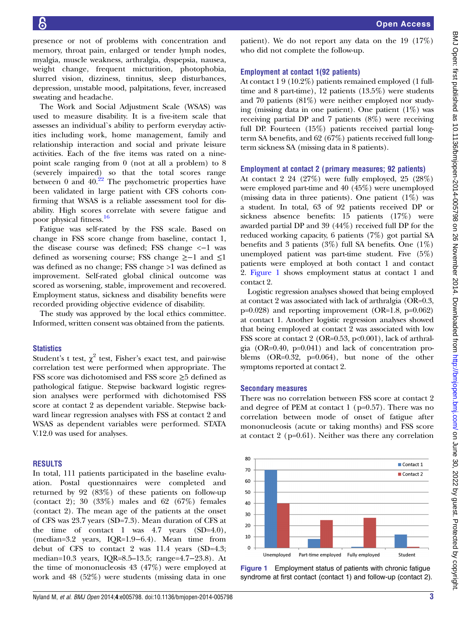presence or not of problems with concentration and memory, throat pain, enlarged or tender lymph nodes, myalgia, muscle weakness, arthralgia, dyspepsia, nausea, weight change, frequent micturition, photophobia, slurred vision, dizziness, tinnitus, sleep disturbances, depression, unstable mood, palpitations, fever, increased sweating and headache.

The Work and Social Adjustment Scale (WSAS) was used to measure disability. It is a five-item scale that assesses an individual`s ability to perform everyday activities including work, home management, family and relationship interaction and social and private leisure activities. Each of the five items was rated on a ninepoint scale ranging from 0 (not at all a problem) to 8 (severely impaired) so that the total scores range between 0 and  $40.\overline{^{22}}$  $40.\overline{^{22}}$  $40.\overline{^{22}}$  The psychometric properties have been validated in large patient with CFS cohorts confirming that WSAS is a reliable assessment tool for disability. High scores correlate with severe fatigue and poor physical fitness.<sup>[16](#page-6-0)</sup>

Fatigue was self-rated by the FSS scale. Based on change in FSS score change from baseline, contact 1, the disease course was defined; FSS change <−1 was defined as worsening course; FSS change ≥−1 and ≤1 was defined as no change; FSS change >1 was defined as improvement. Self-rated global clinical outcome was scored as worsening, stable, improvement and recovered. Employment status, sickness and disability benefits were recorded providing objective evidence of disability.

The study was approved by the local ethics committee. Informed, written consent was obtained from the patients.

# **Statistics**

Student's t test,  $\chi^2$  test, Fisher's exact test, and pair-wise correlation test were performed when appropriate. The FSS score was dichotomised and FSS score ≥5 defined as pathological fatigue. Stepwise backward logistic regression analyses were performed with dichotomised FSS score at contact 2 as dependent variable. Stepwise backward linear regression analyses with FSS at contact 2 and WSAS as dependent variables were performed. STATA V.12.0 was used for analyses.

#### RESULTS

In total, 111 patients participated in the baseline evaluation. Postal questionnaires were completed and returned by 92 (83%) of these patients on follow-up (contact 2); 30 (33%) males and 62 (67%) females (contact 2). The mean age of the patients at the onset of CFS was 23.7 years (SD=7.3). Mean duration of CFS at the time of contact 1 was 4.7 years (SD=4.0), (median=3.2 years, IQR=1.9−6.4). Mean time from debut of CFS to contact 2 was 11.4 years (SD=4.3; median=10.3 years, IQR=8.5–13.5; range=4.7−23.8). At the time of mononucleosis 43 (47%) were employed at work and 48 (52%) were students (missing data in one

patient). We do not report any data on the 19 (17%) who did not complete the follow-up.

# Employment at contact 1(92 patients)

At contact 1 9 (10.2%) patients remained employed (1 fulltime and 8 part-time), 12 patients (13.5%) were students and 70 patients (81%) were neither employed nor studying (missing data in one patient). One patient  $(1\%)$  was receiving partial DP and  $\overline{7}$  patients (8%) were receiving full DP. Fourteen (15%) patients received partial longterm SA benefits, and 62 (67%) patients received full longterm sickness SA (missing data in 8 patients).

### Employment at contact 2 ( primary measures; 92 patients)

At contact 2 24 (27%) were fully employed, 25 (28%) were employed part-time and 40 (45%) were unemployed (missing data in three patients). One patient  $(1%)$  was a student. In total, 63 of 92 patients received DP or sickness absence benefits: 15 patients (17%) were awarded partial DP and 39 (44%) received full DP for the reduced working capacity, 6 patients (7%) got partial SA benefits and 3 patients ( $3\%$ ) full SA benefits. One ( $1\%$ ) unemployed patient was part-time student. Five (5%) patients were employed at both contact 1 and contact 2. Figure 1 shows employment status at contact 1 and contact 2.

Logistic regression analyses showed that being employed at contact 2 was associated with lack of arthralgia (OR=0.3,  $p=0.028$ ) and reporting improvement (OR=1.8,  $p=0.062$ ) at contact 1. Another logistic regression analyses showed that being employed at contact 2 was associated with low FSS score at contact 2 (OR=0.53,  $p<0.001$ ), lack of arthralgia (OR=0.40, p=0.041) and lack of concentration problems (OR=0.32, p=0.064), but none of the other symptoms reported at contact 2.

#### Secondary measures

There was no correlation between FSS score at contact 2 and degree of PEM at contact  $1$  (p=0.57). There was no correlation between mode of onset of fatigue after mononucleosis (acute or taking months) and FSS score at contact 2 (p=0.61). Neither was there any correlation



Figure 1 Employment status of patients with chronic fatigue syndrome at first contact (contact 1) and follow-up (contact 2).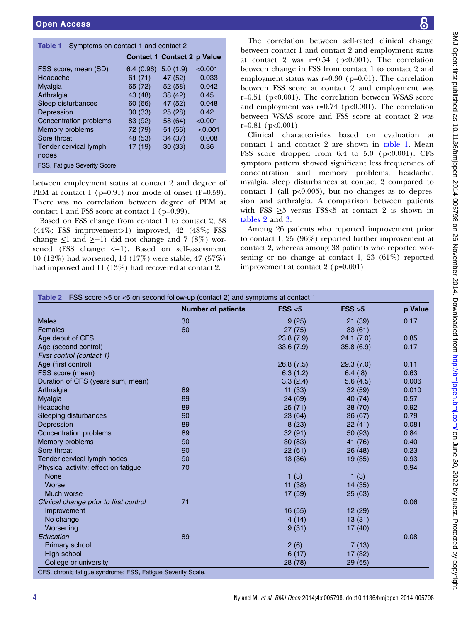| <b>Table 1</b><br>Symptoms on contact 1 and contact 2 |           |                                    |         |
|-------------------------------------------------------|-----------|------------------------------------|---------|
|                                                       |           | <b>Contact 1 Contact 2 p Value</b> |         |
| FSS score, mean (SD)                                  | 6.4(0.96) | 5.0(1.9)                           | < 0.001 |
| Headache                                              | 61(71)    | 47 (52)                            | 0.033   |
| <b>Myalgia</b>                                        | 65 (72)   | 52(58)                             | 0.042   |
| Arthralgia                                            | 43 (48)   | 38 (42)                            | 0.45    |
| Sleep disturbances                                    | 60 (66)   | 47 (52)                            | 0.048   |
| Depression                                            | 30(33)    | 25(28)                             | 0.42    |
| Concentration problems                                | 83 (92)   | 58 (64)                            | < 0.001 |
| Memory problems                                       | 72 (79)   | 51 (56)                            | < 0.001 |
| Sore throat                                           | 48 (53)   | 34(37)                             | 0.008   |
| <b>Tender cervical lymph</b>                          | 17 (19)   | 30(33)                             | 0.36    |
| nodes                                                 |           |                                    |         |
| FSS, Fatique Severity Score.                          |           |                                    |         |

between employment status at contact 2 and degree of PEM at contact 1 ( $p=0.91$ ) nor mode of onset ( $P=0.59$ ). There was no correlation between degree of PEM at contact 1 and FSS score at contact 1 (p=0.99).

Based on FSS change from contact 1 to contact 2, 38 (44%; FSS improvement>1) improved, 42 (48%; FSS change  $\leq 1$  and  $\geq -1$ ) did not change and 7 (8%) worsened (FSS change <−1). Based on self-assessment 10 (12%) had worsened, 14 (17%) were stable, 47 (57%) had improved and 11 (13%) had recovered at contact 2.

The correlation between self-rated clinical change between contact 1 and contact 2 and employment status at contact 2 was  $r=0.54$  ( $p<0.001$ ). The correlation between change in FSS from contact 1 to contact 2 and employment status was  $r=0.30$  (p=0.01). The correlation between FSS score at contact 2 and employment was r=0.51 ( $p$ <0.001). The correlation between WSAS score and employment was  $r=0.74$  ( $p<0.001$ ). The correlation between WSAS score and FSS score at contact 2 was  $r=0.81$  ( $p<0.001$ ). Clinical characteristics based on evaluation at contact 1 and contact 2 are shown in table 1. Mean FSS score dropped from  $6.4$  to  $5.0$  ( $p<0.001$ ). CFS symptom pattern showed significant less frequencies of concentration and memory problems, headache,

myalgia, sleep disturbances at contact 2 compared to contact 1 (all  $p<0.005$ ), but no changes as to depression and arthralgia. A comparison between patients with FSS  $\geq$ 5 versus FSS<5 at contact 2 is shown in tables 2 and [3.](#page-4-0)

Among 26 patients who reported improvement prior to contact 1, 25 (96%) reported further improvement at contact 2, whereas among 38 patients who reported worsening or no change at contact 1, 23 (61%) reported improvement at contact 2 (p=0.001).

|                                        | <b>Number of patients</b> | FSS < 5   | FSS > 5   | p Value |
|----------------------------------------|---------------------------|-----------|-----------|---------|
| <b>Males</b>                           | 30                        | 9(25)     | 21 (39)   | 0.17    |
| Females                                | 60                        | 27(75)    | 33(61)    |         |
| Age debut of CFS                       |                           | 23.8(7.9) | 24.1(7.0) | 0.85    |
| Age (second control)                   |                           | 33.6(7.9) | 35.8(6.9) | 0.17    |
| First control (contact 1)              |                           |           |           |         |
| Age (first control)                    |                           | 26.8(7.5) | 29.3(7.0) | 0.11    |
| FSS score (mean)                       |                           | 6.3(1.2)  | 6.4(.8)   | 0.63    |
| Duration of CFS (years sum, mean)      |                           | 3.3(2.4)  | 5.6(4.5)  | 0.006   |
| Arthralgia                             | 89                        | 11(33)    | 32(59)    | 0.010   |
| <b>Myalgia</b>                         | 89                        | 24 (69)   | 40 (74)   | 0.57    |
| Headache                               | 89                        | 25(71)    | 38 (70)   | 0.92    |
| Sleeping disturbances                  | 90                        | 23(64)    | 36 (67)   | 0.79    |
| Depression                             | 89                        | 8(23)     | 22(41)    | 0.081   |
| <b>Concentration problems</b>          | 89                        | 32(91)    | 50 (93)   | 0.84    |
| Memory problems                        | 90                        | 30(83)    | 41 (76)   | 0.40    |
| Sore throat                            | 90                        | 22(61)    | 26(48)    | 0.23    |
| Tender cervical lymph nodes            | 90                        | 13(36)    | 19(35)    | 0.93    |
| Physical activity: effect on fatigue   | 70                        |           |           | 0.94    |
| <b>None</b>                            |                           | 1(3)      | 1(3)      |         |
| Worse                                  |                           | 11(38)    | 14 (35)   |         |
| Much worse                             |                           | 17 (59)   | 25(63)    |         |
| Clinical change prior to first control | 71                        |           |           | 0.06    |
| Improvement                            |                           | 16(55)    | 12(29)    |         |
| No change                              |                           | 4(14)     | 13(31)    |         |
| Worsening                              |                           | 9(31)     | 17(40)    |         |
| Education                              | 89                        |           |           | 0.08    |
| Primary school                         |                           | 2(6)      | 7(13)     |         |
| High school                            |                           | 6(17)     | 17 (32)   |         |
| College or university                  |                           | 28 (78)   | 29 (55)   |         |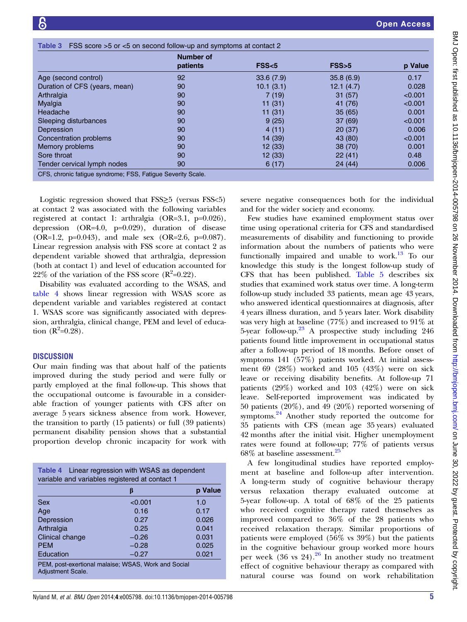<span id="page-4-0"></span>

|                               | <b>Number of</b> |                  |           |         |
|-------------------------------|------------------|------------------|-----------|---------|
|                               | patients         | FSS <sub>5</sub> | FSS>5     | p Value |
| Age (second control)          | 92               | 33.6(7.9)        | 35.8(6.9) | 0.17    |
| Duration of CFS (years, mean) | 90               | 10.1(3.1)        | 12.1(4.7) | 0.028   |
| Arthralgia                    | 90               | 7(19)            | 31(57)    | < 0.001 |
| Myalgia                       | 90               | 11(31)           | 41 (76)   | < 0.001 |
| Headache                      | 90               | 11(31)           | 35(65)    | 0.001   |
| Sleeping disturbances         | 90               | 9(25)            | 37(69)    | < 0.001 |
| Depression                    | 90               | 4(11)            | 20(37)    | 0.006   |
| Concentration problems        | 90               | 14 (39)          | 43 (80)   | < 0.001 |
| Memory problems               | 90               | 12 (33)          | 38 (70)   | 0.001   |
| Sore throat                   | 90               | 12(33)           | 22(41)    | 0.48    |
| Tender cervical lymph nodes   | 90               | 6(17)            | 24(44)    | 0.006   |

Logistic regression showed that FSS≥5 (versus FSS<5) at contact 2 was associated with the following variables registered at contact 1: arthralgia (OR=3.1, p=0.026), depression (OR=4.0, p=0.029), duration of disease (OR=1.2, p=0.043), and male sex (OR=2.6, p=0.087). Linear regression analysis with FSS score at contact 2 as dependent variable showed that arthralgia, depression (both at contact 1) and level of education accounted for 22% of the variation of the FSS score  $(R^2=0.22)$ .

Disability was evaluated according to the WSAS, and table 4 shows linear regression with WSAS score as dependent variable and variables registered at contact 1. WSAS score was significantly associated with depression, arthralgia, clinical change, PEM and level of education  $(R^2=0.28)$ .

# **DISCUSSION**

Our main finding was that about half of the patients improved during the study period and were fully or partly employed at the final follow-up. This shows that the occupational outcome is favourable in a considerable fraction of younger patients with CFS after on average 5 years sickness absence from work. However, the transition to partly (15 patients) or full (39 patients) permanent disability pension shows that a substantial proportion develop chronic incapacity for work with

| <b>Table 4</b> Linear regression with WSAS as dependent<br>variable and variables registered at contact 1 |         |             |  |
|-----------------------------------------------------------------------------------------------------------|---------|-------------|--|
|                                                                                                           | B       | p Value     |  |
| Sex                                                                                                       | < 0.001 | 1. $\Omega$ |  |
| Age                                                                                                       | 0.16    | 0.17        |  |
| Depression                                                                                                | 0.27    | 0.026       |  |
| Arthralgia                                                                                                | 0.25    | 0.041       |  |
| Clinical change                                                                                           | $-0.26$ | 0.031       |  |
| <b>PFM</b>                                                                                                | $-0.28$ | 0.025       |  |
| Education                                                                                                 | $-0.27$ | 0.021       |  |
| PEM, post-exertional malaise; WSAS, Work and Social<br><b>Adjustment Scale.</b>                           |         |             |  |

severe negative consequences both for the individual and for the wider society and economy.

Few studies have examined employment status over time using operational criteria for CFS and standardised measurements of disability and functioning to provide information about the numbers of patients who were functionally impaired and unable to work.<sup>[13](#page-6-0)</sup> To our knowledge this study is the longest follow-up study of CFS that has been published. [Table 5](#page-5-0) describes six studies that examined work status over time. A long-term follow-up study included 33 patients, mean age 43 years, who answered identical questionnaires at diagnosis, after 4 years illness duration, and 5 years later. Work disability was very high at baseline (77%) and increased to 91% at 5-year follow-up.[23](#page-6-0) A prospective study including 246 patients found little improvement in occupational status after a follow-up period of 18 months. Before onset of symptoms 141 (57%) patients worked. At initial assessment 69 (28%) worked and 105 (43%) were on sick leave or receiving disability benefits. At follow-up 71 patients (29%) worked and 103 (42%) were on sick leave. Self-reported improvement was indicated by 50 patients (20%), and 49 (20%) reported worsening of symptoms.<sup>[24](#page-6-0)</sup> Another study reported the outcome for 35 patients with CFS (mean age 35 years) evaluated 42 months after the initial visit. Higher unemployment rates were found at follow-up; 77% of patients versus  $68\%$  at baseline assessment.<sup>[25](#page-6-0)</sup>

A few longitudinal studies have reported employment at baseline and follow-up after intervention. A long-term study of cognitive behaviour therapy versus relaxation therapy evaluated outcome at 5-year follow-up. A total of 68% of the 25 patients who received cognitive therapy rated themselves as improved compared to 36% of the 28 patients who received relaxation therapy. Similar proportions of patients were employed (56% vs 39%) but the patients in the cognitive behaviour group worked more hours per week  $(36 \text{ vs } 24)$ .<sup>[26](#page-6-0)</sup> In another study no treatment effect of cognitive behaviour therapy as compared with natural course was found on work rehabilitation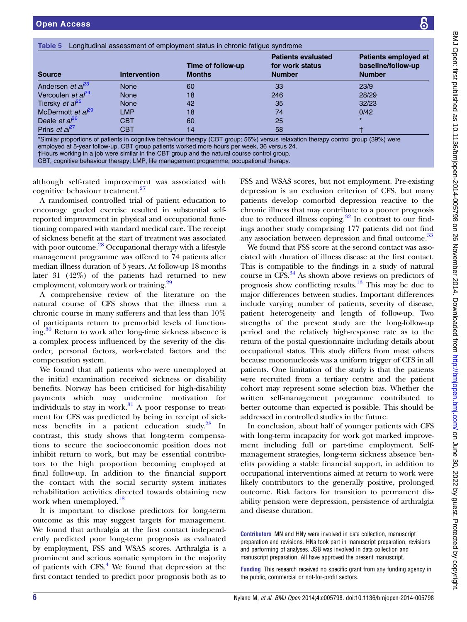| <b>Source</b>                | <b>Intervention</b> | Time of follow-up<br><b>Months</b> | <b>Patients evaluated</b><br>for work status<br><b>Number</b> | <b>Patients employed at</b><br>baseline/follow-up<br><b>Number</b> |
|------------------------------|---------------------|------------------------------------|---------------------------------------------------------------|--------------------------------------------------------------------|
| Andersen et al <sup>23</sup> | <b>None</b>         | 60                                 | 33                                                            | 23/9                                                               |
| Vercoulen <i>et</i> $a^{24}$ | <b>None</b>         | 18                                 | 246                                                           | 28/29                                                              |
| Tiersky et $a^{25}$          | <b>None</b>         | 42                                 | 35                                                            | 32/23                                                              |
| McDermott et $a^{29}$        | <b>LMP</b>          | 18                                 | 74                                                            | 0/42                                                               |
| Deale et $a^{26}$            | <b>CBT</b>          | 60                                 | 25                                                            | $\star$                                                            |
| Prins <i>et</i> $a^{27}$     | <b>CBT</b>          | 14                                 | 58                                                            |                                                                    |

\*Similar proportions of patients in cognitive behaviour therapy (CBT group; 56%) versus relaxation therapy control group (39%) were employed at 5-year follow-up. CBT group patients worked more hours per week, 36 versus 24.

†Hours working in a job were similar in the CBT group and the natural course control group.

<span id="page-5-0"></span>Table 5 Longitudinal assessment of employment status in chronic fatigue syndrome

CBT, cognitive behaviour therapy; LMP, life management programme, occupational therapy.

although self-rated improvement was associated with cognitive behaviour treatment.<sup>[27](#page-6-0)</sup>

A randomised controlled trial of patient education to encourage graded exercise resulted in substantial selfreported improvement in physical and occupational functioning compared with standard medical care. The receipt of sickness benefit at the start of treatment was associated with poor outcome.<sup>28</sup> Occupational therapy with a lifestyle management programme was offered to 74 patients after median illness duration of 5 years. At follow-up 18 months later 31 (42%) of the patients had returned to new employment, voluntary work or training.<sup>29</sup>

A comprehensive review of the literature on the natural course of CFS shows that the illness run a chronic course in many sufferers and that less than 10% of participants return to premorbid levels of functioning.<sup>30</sup> Return to work after long-time sickness absence is a complex process influenced by the severity of the disorder, personal factors, work-related factors and the compensation system.

We found that all patients who were unemployed at the initial examination received sickness or disability benefits. Norway has been criticised for high-disability payments which may undermine motivation for individuals to stay in work. $31$  A poor response to treatment for CFS was predicted by being in receipt of sick-ness benefits in a patient education study.<sup>[28](#page-6-0)</sup> In contrast, this study shows that long-term compensations to secure the socioeconomic position does not inhibit return to work, but may be essential contributors to the high proportion becoming employed at final follow-up. In addition to the financial support the contact with the social security system initiates rehabilitation activities directed towards obtaining new work when unemployed.<sup>[18](#page-6-0)</sup>

It is important to disclose predictors for long-term outcome as this may suggest targets for management. We found that arthralgia at the first contact independently predicted poor long-term prognosis as evaluated by employment, FSS and WSAS scores. Arthralgia is a prominent and serious somatic symptom in the majority of patients with  $CFS<sup>4</sup>$  $CFS<sup>4</sup>$  $CFS<sup>4</sup>$  We found that depression at the first contact tended to predict poor prognosis both as to

FSS and WSAS scores, but not employment. Pre-existing depression is an exclusion criterion of CFS, but many patients develop comorbid depression reactive to the chronic illness that may contribute to a poorer prognosis due to reduced illness coping. $32$  In contrast to our findings another study comprising 177 patients did not find any association between depression and final outcome.<sup>[33](#page-6-0)</sup>

We found that FSS score at the second contact was associated with duration of illness disease at the first contact. This is compatible to the findings in a study of natural course in CFS.<sup>34</sup> As shown above reviews on predictors of prognosis show conflicting results.<sup>13</sup> This may be due to major differences between studies. Important differences include varying number of patients, severity of disease, patient heterogeneity and length of follow-up. Two strengths of the present study are the long-follow-up period and the relatively high-response rate as to the return of the postal questionnaire including details about occupational status. This study differs from most others because mononucleosis was a uniform trigger of CFS in all patients. One limitation of the study is that the patients were recruited from a tertiary centre and the patient cohort may represent some selection bias. Whether the written self-management programme contributed to better outcome than expected is possible. This should be addressed in controlled studies in the future.

In conclusion, about half of younger patients with CFS with long-term incapacity for work got marked improvement including full or part-time employment. Selfmanagement strategies, long-term sickness absence benefits providing a stable financial support, in addition to occupational interventions aimed at return to work were likely contributors to the generally positive, prolonged outcome. Risk factors for transition to permanent disability pension were depression, persistence of arthralgia and disease duration.

Contributors MN and HNy were involved in data collection, manuscript preparation and revisions. HNa took part in manuscript preparation, revisions and performing of analyses. JSB was involved in data collection and manuscript preparation. All have approved the present manuscript.

Funding This research received no specific grant from any funding agency in the public, commercial or not-for-profit sectors.